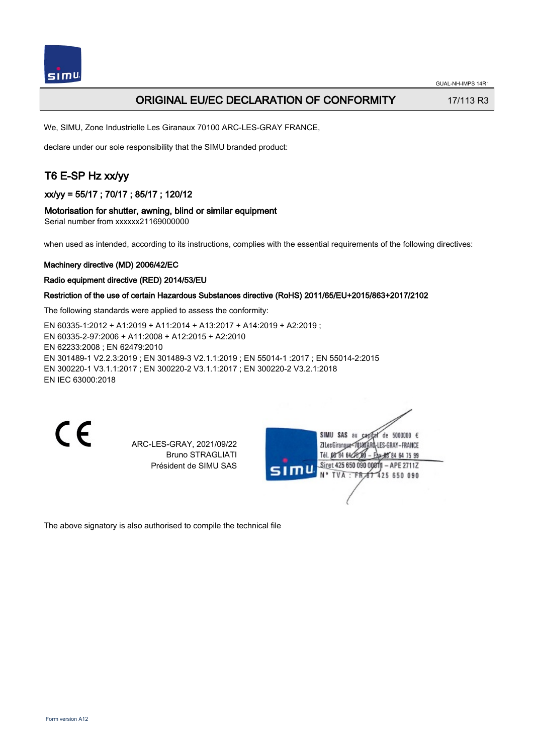

# ORIGINAL EU/EC DECLARATION OF CONFORMITY 17/113 R3

We, SIMU, Zone Industrielle Les Giranaux 70100 ARC-LES-GRAY FRANCE,

declare under our sole responsibility that the SIMU branded product:

# T6 E-SP Hz xx/yy

xx/yy = 55/17 ; 70/17 ; 85/17 ; 120/12

### Motorisation for shutter, awning, blind or similar equipment

Serial number from xxxxxx21169000000

when used as intended, according to its instructions, complies with the essential requirements of the following directives:

### Machinery directive (MD) 2006/42/EC

### Radio equipment directive (RED) 2014/53/EU

### Restriction of the use of certain Hazardous Substances directive (RoHS) 2011/65/EU+2015/863+2017/2102

The following standards were applied to assess the conformity:

EN 60335‑1:2012 + A1:2019 + A11:2014 + A13:2017 + A14:2019 + A2:2019 ; EN 60335‑2‑97:2006 + A11:2008 + A12:2015 + A2:2010 EN 62233:2008 ; EN 62479:2010 EN 301489‑1 V2.2.3:2019 ; EN 301489‑3 V2.1.1:2019 ; EN 55014‑1 :2017 ; EN 55014‑2:2015 EN 300220‑1 V3.1.1:2017 ; EN 300220‑2 V3.1.1:2017 ; EN 300220‑2 V3.2.1:2018 EN IEC 63000:2018

 $\epsilon$ 

ARC-LES-GRAY, 2021/09/22 Bruno STRAGLIATI Président de SIMU SAS

de 5000000  $\epsilon$ **ZILesGiranaug** ES-GRAY-FRANCE THE DR'RA 64/2 85 84 64 75 99 Siret 425 650 090 00811 - APE 2711Z FR 67 425 650 090 TVA

The above signatory is also authorised to compile the technical file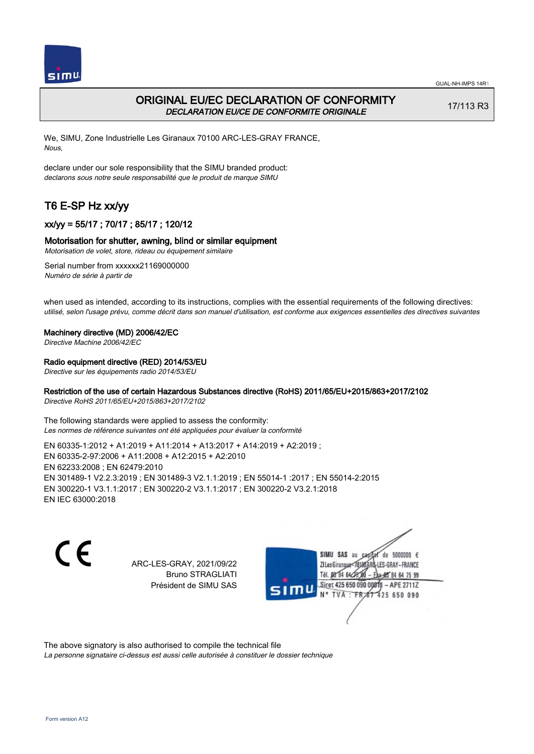



# ORIGINAL EU/EC DECLARATION OF CONFORMITY DECLARATION EU/CE DE CONFORMITE ORIGINALE

17/113 R3

We, SIMU, Zone Industrielle Les Giranaux 70100 ARC-LES-GRAY FRANCE, Nous,

declare under our sole responsibility that the SIMU branded product: declarons sous notre seule responsabilité que le produit de marque SIMU

# T6 E-SP Hz xx/yy

# xx/yy = 55/17 ; 70/17 ; 85/17 ; 120/12

## Motorisation for shutter, awning, blind or similar equipment

Motorisation de volet, store, rideau ou équipement similaire

Serial number from xxxxxx21169000000 Numéro de série à partir de

when used as intended, according to its instructions, complies with the essential requirements of the following directives: utilisé, selon l'usage prévu, comme décrit dans son manuel d'utilisation, est conforme aux exigences essentielles des directives suivantes

#### Machinery directive (MD) 2006/42/EC

Directive Machine 2006/42/EC

### Radio equipment directive (RED) 2014/53/EU

Directive sur les équipements radio 2014/53/EU

### Restriction of the use of certain Hazardous Substances directive (RoHS) 2011/65/EU+2015/863+2017/2102

Directive RoHS 2011/65/EU+2015/863+2017/2102

The following standards were applied to assess the conformity: Les normes de référence suivantes ont été appliquées pour évaluer la conformité

EN 60335‑1:2012 + A1:2019 + A11:2014 + A13:2017 + A14:2019 + A2:2019 ; EN 60335‑2‑97:2006 + A11:2008 + A12:2015 + A2:2010 EN 62233:2008 ; EN 62479:2010 EN 301489‑1 V2.2.3:2019 ; EN 301489‑3 V2.1.1:2019 ; EN 55014‑1 :2017 ; EN 55014‑2:2015 EN 300220‑1 V3.1.1:2017 ; EN 300220‑2 V3.1.1:2017 ; EN 300220‑2 V3.2.1:2018 EN IEC 63000:2018

 $\epsilon$ 

ARC-LES-GRAY, 2021/09/22 Bruno STRAGLIATI Président de SIMU SAS



The above signatory is also authorised to compile the technical file

La personne signataire ci-dessus est aussi celle autorisée à constituer le dossier technique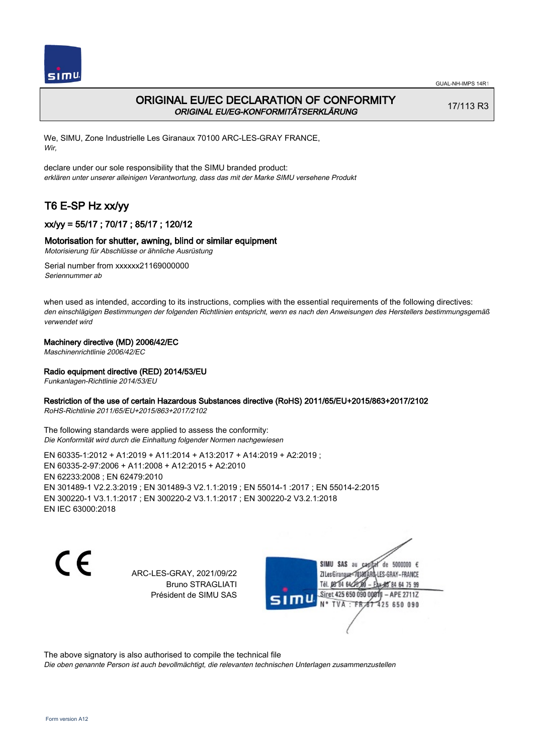

# ORIGINAL EU/EC DECLARATION OF CONFORMITY ORIGINAL EU/EG-KONFORMITÄTSERKLÄRUNG

17/113 R3

We, SIMU, Zone Industrielle Les Giranaux 70100 ARC-LES-GRAY FRANCE, Wir,

declare under our sole responsibility that the SIMU branded product: erklären unter unserer alleinigen Verantwortung, dass das mit der Marke SIMU versehene Produkt

# T6 E-SP Hz xx/yy

# xx/yy = 55/17 ; 70/17 ; 85/17 ; 120/12

## Motorisation for shutter, awning, blind or similar equipment

Motorisierung für Abschlüsse or ähnliche Ausrüstung

Serial number from xxxxxx21169000000 Seriennummer ab

when used as intended, according to its instructions, complies with the essential requirements of the following directives: den einschlägigen Bestimmungen der folgenden Richtlinien entspricht, wenn es nach den Anweisungen des Herstellers bestimmungsgemäß verwendet wird

## Machinery directive (MD) 2006/42/EC

Maschinenrichtlinie 2006/42/EC

## Radio equipment directive (RED) 2014/53/EU

Funkanlagen-Richtlinie 2014/53/EU

## Restriction of the use of certain Hazardous Substances directive (RoHS) 2011/65/EU+2015/863+2017/2102

RoHS-Richtlinie 2011/65/EU+2015/863+2017/2102

The following standards were applied to assess the conformity: Die Konformität wird durch die Einhaltung folgender Normen nachgewiesen

EN 60335‑1:2012 + A1:2019 + A11:2014 + A13:2017 + A14:2019 + A2:2019 ; EN 60335‑2‑97:2006 + A11:2008 + A12:2015 + A2:2010 EN 62233:2008 ; EN 62479:2010 EN 301489‑1 V2.2.3:2019 ; EN 301489‑3 V2.1.1:2019 ; EN 55014‑1 :2017 ; EN 55014‑2:2015 EN 300220‑1 V3.1.1:2017 ; EN 300220‑2 V3.1.1:2017 ; EN 300220‑2 V3.2.1:2018 EN IEC 63000:2018

C E

ARC-LES-GRAY, 2021/09/22 Bruno STRAGLIATI Président de SIMU SAS

SIMU SAS au de 5000000  $\epsilon$ ZI Les Giranaux-70180 LES-GRAY-FRANCE Tél. 08 84 64 24 64 75 99 Siret 425 650 090 008TV - APE 2711Z 425 650 090 **TVA:FR** 

The above signatory is also authorised to compile the technical file

Die oben genannte Person ist auch bevollmächtigt, die relevanten technischen Unterlagen zusammenzustellen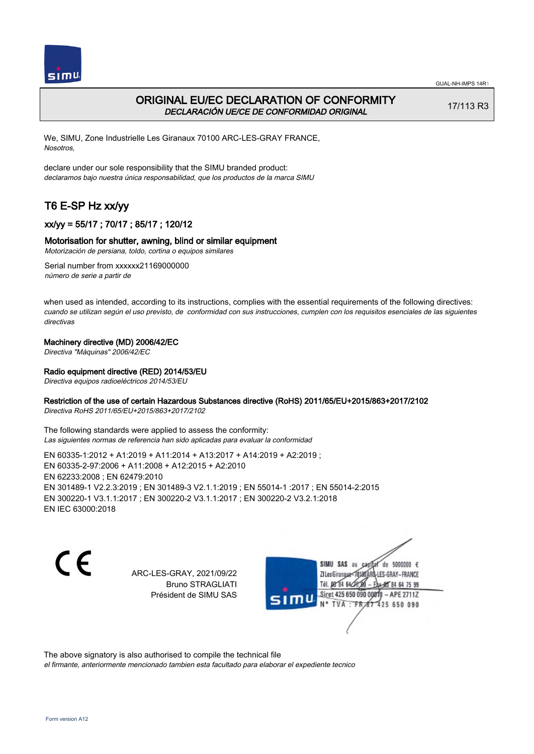



# ORIGINAL EU/EC DECLARATION OF CONFORMITY DECLARACIÓN UE/CE DE CONFORMIDAD ORIGINAL

17/113 R3

We, SIMU, Zone Industrielle Les Giranaux 70100 ARC-LES-GRAY FRANCE, Nosotros,

declare under our sole responsibility that the SIMU branded product: declaramos bajo nuestra única responsabilidad, que los productos de la marca SIMU

# T6 E-SP Hz xx/yy

# xx/yy = 55/17 ; 70/17 ; 85/17 ; 120/12

## Motorisation for shutter, awning, blind or similar equipment

Motorización de persiana, toldo, cortina o equipos similares

Serial number from xxxxxx21169000000 número de serie a partir de

when used as intended, according to its instructions, complies with the essential requirements of the following directives: cuando se utilizan según el uso previsto, de conformidad con sus instrucciones, cumplen con los requisitos esenciales de las siguientes directivas

## Machinery directive (MD) 2006/42/EC

Directiva "Máquinas" 2006/42/EC

## Radio equipment directive (RED) 2014/53/EU

Directiva equipos radioeléctricos 2014/53/EU

## Restriction of the use of certain Hazardous Substances directive (RoHS) 2011/65/EU+2015/863+2017/2102

Directiva RoHS 2011/65/EU+2015/863+2017/2102

The following standards were applied to assess the conformity: Las siguientes normas de referencia han sido aplicadas para evaluar la conformidad

EN 60335‑1:2012 + A1:2019 + A11:2014 + A13:2017 + A14:2019 + A2:2019 ; EN 60335‑2‑97:2006 + A11:2008 + A12:2015 + A2:2010 EN 62233:2008 ; EN 62479:2010 EN 301489‑1 V2.2.3:2019 ; EN 301489‑3 V2.1.1:2019 ; EN 55014‑1 :2017 ; EN 55014‑2:2015 EN 300220‑1 V3.1.1:2017 ; EN 300220‑2 V3.1.1:2017 ; EN 300220‑2 V3.2.1:2018 EN IEC 63000:2018

C E

ARC-LES-GRAY, 2021/09/22 Bruno STRAGLIATI Président de SIMU SAS

SIMU SAS au de 5000000  $\epsilon$ ZI Les Girangux 10180 LES-GRAY-FRANCE Tél. 08 84 64 24 64 75 99 Siret 425 650 090 008TV - APE 2711Z 425 650 090 TVA: FR

The above signatory is also authorised to compile the technical file el firmante, anteriormente mencionado tambien esta facultado para elaborar el expediente tecnico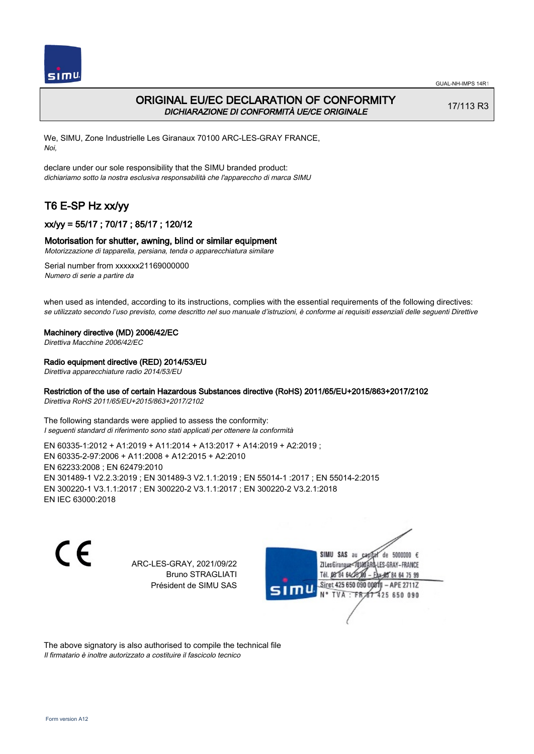

# ORIGINAL EU/EC DECLARATION OF CONFORMITY DICHIARAZIONE DI CONFORMITÀ UE/CE ORIGINALE

17/113 R3

We, SIMU, Zone Industrielle Les Giranaux 70100 ARC-LES-GRAY FRANCE, Noi,

declare under our sole responsibility that the SIMU branded product: dichiariamo sotto la nostra esclusiva responsabilità che l'appareccho di marca SIMU

# T6 E-SP Hz xx/yy

# xx/yy = 55/17 ; 70/17 ; 85/17 ; 120/12

### Motorisation for shutter, awning, blind or similar equipment

Motorizzazione di tapparella, persiana, tenda o apparecchiatura similare

Serial number from xxxxxx21169000000 Numero di serie a partire da

when used as intended, according to its instructions, complies with the essential requirements of the following directives: se utilizzato secondo l'uso previsto, come descritto nel suo manuale d'istruzioni, è conforme ai requisiti essenziali delle seguenti Direttive

#### Machinery directive (MD) 2006/42/EC

Direttiva Macchine 2006/42/EC

### Radio equipment directive (RED) 2014/53/EU

Direttiva apparecchiature radio 2014/53/EU

## Restriction of the use of certain Hazardous Substances directive (RoHS) 2011/65/EU+2015/863+2017/2102

Direttiva RoHS 2011/65/EU+2015/863+2017/2102

The following standards were applied to assess the conformity: I seguenti standard di riferimento sono stati applicati per ottenere la conformità

EN 60335‑1:2012 + A1:2019 + A11:2014 + A13:2017 + A14:2019 + A2:2019 ; EN 60335‑2‑97:2006 + A11:2008 + A12:2015 + A2:2010 EN 62233:2008 ; EN 62479:2010 EN 301489‑1 V2.2.3:2019 ; EN 301489‑3 V2.1.1:2019 ; EN 55014‑1 :2017 ; EN 55014‑2:2015 EN 300220‑1 V3.1.1:2017 ; EN 300220‑2 V3.1.1:2017 ; EN 300220‑2 V3.2.1:2018 EN IEC 63000:2018

 $\epsilon$ 

ARC-LES-GRAY, 2021/09/22 Bruno STRAGLIATI Président de SIMU SAS



The above signatory is also authorised to compile the technical file Il firmatario è inoltre autorizzato a costituire il fascicolo tecnico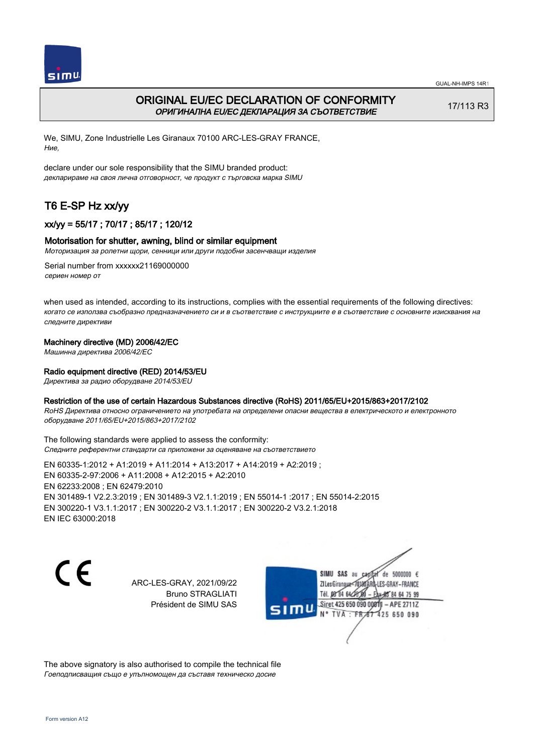



# ORIGINAL EU/EC DECLARATION OF CONFORMITY ОРИГИНАЛНА EU/EC ДЕКЛАРАЦИЯ ЗА СЪОТВЕТСТВИЕ

17/113 R3

We, SIMU, Zone Industrielle Les Giranaux 70100 ARC-LES-GRAY FRANCE, Ние,

declare under our sole responsibility that the SIMU branded product: декларираме на своя лична отговорност, че продукт с търговска марка SIMU

# T6 E-SP Hz xx/yy

# xx/yy = 55/17 ; 70/17 ; 85/17 ; 120/12

## Motorisation for shutter, awning, blind or similar equipment

Моторизация за ролетни щори, сенници или други подобни засенчващи изделия

Serial number from xxxxxx21169000000 сериен номер от

when used as intended, according to its instructions, complies with the essential requirements of the following directives: когато се използва съобразно предназначението си и в съответствие с инструкциите е в съответствие с основните изисквания на следните директиви

## Machinery directive (MD) 2006/42/EC

Машинна директива 2006/42/EC

## Radio equipment directive (RED) 2014/53/EU

Директива за радио оборудване 2014/53/EU

## Restriction of the use of certain Hazardous Substances directive (RoHS) 2011/65/EU+2015/863+2017/2102

RoHS Директива относно ограничението на употребата на определени опасни вещества в електрическото и електронното оборудване 2011/65/EU+2015/863+2017/2102

The following standards were applied to assess the conformity: Следните референтни стандарти са приложени за оценяване на съответствието

EN 60335‑1:2012 + A1:2019 + A11:2014 + A13:2017 + A14:2019 + A2:2019 ; EN 60335‑2‑97:2006 + A11:2008 + A12:2015 + A2:2010 EN 62233:2008 ; EN 62479:2010 EN 301489‑1 V2.2.3:2019 ; EN 301489‑3 V2.1.1:2019 ; EN 55014‑1 :2017 ; EN 55014‑2:2015 EN 300220‑1 V3.1.1:2017 ; EN 300220‑2 V3.1.1:2017 ; EN 300220‑2 V3.2.1:2018 EN IEC 63000:2018

C E

ARC-LES-GRAY, 2021/09/22 Bruno STRAGLIATI Président de SIMU SAS



The above signatory is also authorised to compile the technical file Гоеподписващия също е упълномощен да съставя техническо досие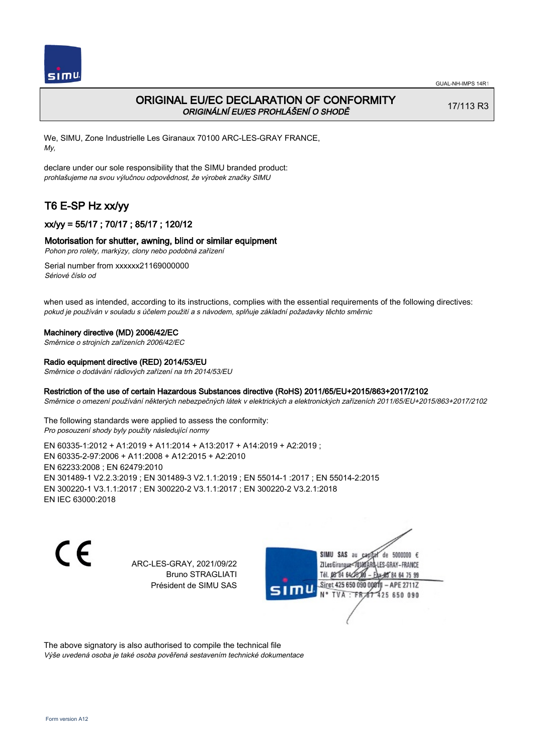

# ORIGINAL EU/EC DECLARATION OF CONFORMITY ORIGINÁLNÍ EU/ES PROHLÁŠENÍ O SHODĚ

17/113 R3

We, SIMU, Zone Industrielle Les Giranaux 70100 ARC-LES-GRAY FRANCE, My,

declare under our sole responsibility that the SIMU branded product: prohlašujeme na svou výlučnou odpovědnost, že výrobek značky SIMU

# T6 E-SP Hz xx/yy

# xx/yy = 55/17 ; 70/17 ; 85/17 ; 120/12

### Motorisation for shutter, awning, blind or similar equipment

Pohon pro rolety, markýzy, clony nebo podobná zařízení

Serial number from xxxxxx21169000000 Sériové číslo od

when used as intended, according to its instructions, complies with the essential requirements of the following directives: pokud je používán v souladu s účelem použití a s návodem, splňuje základní požadavky těchto směrnic

#### Machinery directive (MD) 2006/42/EC

Směrnice o strojních zařízeních 2006/42/EC

#### Radio equipment directive (RED) 2014/53/EU

Směrnice o dodávání rádiových zařízení na trh 2014/53/EU

#### Restriction of the use of certain Hazardous Substances directive (RoHS) 2011/65/EU+2015/863+2017/2102

Směrnice o omezení používání některých nebezpečných látek v elektrických a elektronických zařízeních 2011/65/EU+2015/863+2017/2102

The following standards were applied to assess the conformity: Pro posouzení shody byly použity následující normy

EN 60335‑1:2012 + A1:2019 + A11:2014 + A13:2017 + A14:2019 + A2:2019 ; EN 60335‑2‑97:2006 + A11:2008 + A12:2015 + A2:2010 EN 62233:2008 ; EN 62479:2010 EN 301489‑1 V2.2.3:2019 ; EN 301489‑3 V2.1.1:2019 ; EN 55014‑1 :2017 ; EN 55014‑2:2015 EN 300220‑1 V3.1.1:2017 ; EN 300220‑2 V3.1.1:2017 ; EN 300220‑2 V3.2.1:2018 EN IEC 63000:2018

 $\epsilon$ 

ARC-LES-GRAY, 2021/09/22 Bruno STRAGLIATI Président de SIMU SAS



The above signatory is also authorised to compile the technical file Výše uvedená osoba je také osoba pověřená sestavením technické dokumentace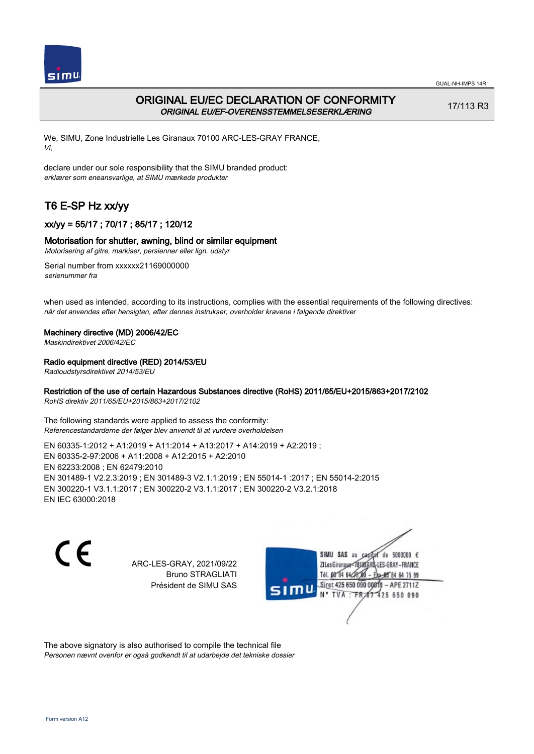



# ORIGINAL EU/EC DECLARATION OF CONFORMITY ORIGINAL EU/EF-OVERENSSTEMMELSESERKLÆRING

17/113 R3

We, SIMU, Zone Industrielle Les Giranaux 70100 ARC-LES-GRAY FRANCE, Vi,

declare under our sole responsibility that the SIMU branded product: erklærer som eneansvarlige, at SIMU mærkede produkter

# T6 E-SP Hz xx/yy

# xx/yy = 55/17 ; 70/17 ; 85/17 ; 120/12

## Motorisation for shutter, awning, blind or similar equipment

Motorisering af gitre, markiser, persienner eller lign. udstyr

Serial number from xxxxxx21169000000 serienummer fra

when used as intended, according to its instructions, complies with the essential requirements of the following directives: når det anvendes efter hensigten, efter dennes instrukser, overholder kravene i følgende direktiver

### Machinery directive (MD) 2006/42/EC

Maskindirektivet 2006/42/EC

## Radio equipment directive (RED) 2014/53/EU

Radioudstyrsdirektivet 2014/53/EU

## Restriction of the use of certain Hazardous Substances directive (RoHS) 2011/65/EU+2015/863+2017/2102

RoHS direktiv 2011/65/EU+2015/863+2017/2102

The following standards were applied to assess the conformity: Referencestandarderne der følger blev anvendt til at vurdere overholdelsen

EN 60335‑1:2012 + A1:2019 + A11:2014 + A13:2017 + A14:2019 + A2:2019 ; EN 60335‑2‑97:2006 + A11:2008 + A12:2015 + A2:2010 EN 62233:2008 ; EN 62479:2010 EN 301489‑1 V2.2.3:2019 ; EN 301489‑3 V2.1.1:2019 ; EN 55014‑1 :2017 ; EN 55014‑2:2015 EN 300220‑1 V3.1.1:2017 ; EN 300220‑2 V3.1.1:2017 ; EN 300220‑2 V3.2.1:2018 EN IEC 63000:2018

 $\epsilon$ 

ARC-LES-GRAY, 2021/09/22 Bruno STRAGLIATI Président de SIMU SAS



The above signatory is also authorised to compile the technical file Personen nævnt ovenfor er også godkendt til at udarbejde det tekniske dossier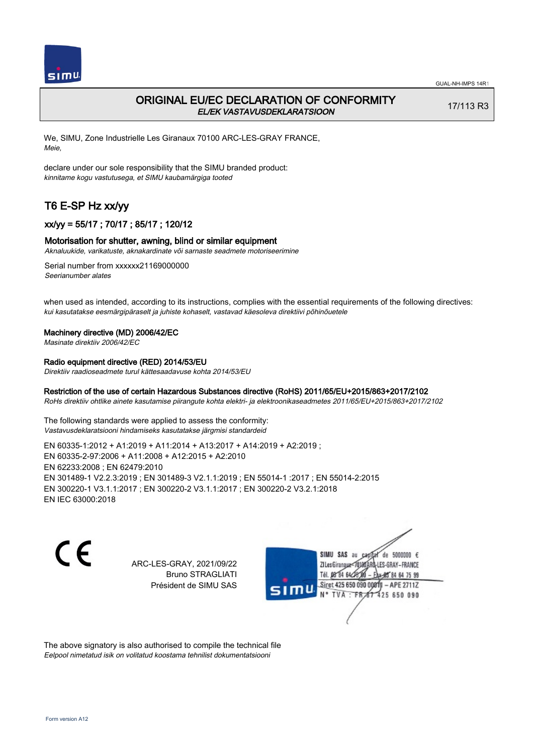

# ORIGINAL EU/EC DECLARATION OF CONFORMITY EL/EK VASTAVUSDEKLARATSIOON

17/113 R3

We, SIMU, Zone Industrielle Les Giranaux 70100 ARC-LES-GRAY FRANCE, Meie,

declare under our sole responsibility that the SIMU branded product: kinnitame kogu vastutusega, et SIMU kaubamärgiga tooted

# T6 E-SP Hz xx/yy

## xx/yy = 55/17 ; 70/17 ; 85/17 ; 120/12

### Motorisation for shutter, awning, blind or similar equipment

Aknaluukide, varikatuste, aknakardinate või sarnaste seadmete motoriseerimine

Serial number from xxxxxx21169000000 Seerianumber alates

when used as intended, according to its instructions, complies with the essential requirements of the following directives: kui kasutatakse eesmärgipäraselt ja juhiste kohaselt, vastavad käesoleva direktiivi põhinõuetele

#### Machinery directive (MD) 2006/42/EC

Masinate direktiiv 2006/42/EC

## Radio equipment directive (RED) 2014/53/EU

Direktiiv raadioseadmete turul kättesaadavuse kohta 2014/53/EU

## Restriction of the use of certain Hazardous Substances directive (RoHS) 2011/65/EU+2015/863+2017/2102

RoHs direktiiv ohtlike ainete kasutamise piirangute kohta elektri- ja elektroonikaseadmetes 2011/65/EU+2015/863+2017/2102

The following standards were applied to assess the conformity: Vastavusdeklaratsiooni hindamiseks kasutatakse järgmisi standardeid

EN 60335‑1:2012 + A1:2019 + A11:2014 + A13:2017 + A14:2019 + A2:2019 ; EN 60335‑2‑97:2006 + A11:2008 + A12:2015 + A2:2010 EN 62233:2008 ; EN 62479:2010 EN 301489‑1 V2.2.3:2019 ; EN 301489‑3 V2.1.1:2019 ; EN 55014‑1 :2017 ; EN 55014‑2:2015 EN 300220‑1 V3.1.1:2017 ; EN 300220‑2 V3.1.1:2017 ; EN 300220‑2 V3.2.1:2018 EN IEC 63000:2018

 $\epsilon$ 

ARC-LES-GRAY, 2021/09/22 Bruno STRAGLIATI Président de SIMU SAS



The above signatory is also authorised to compile the technical file Eelpool nimetatud isik on volitatud koostama tehnilist dokumentatsiooni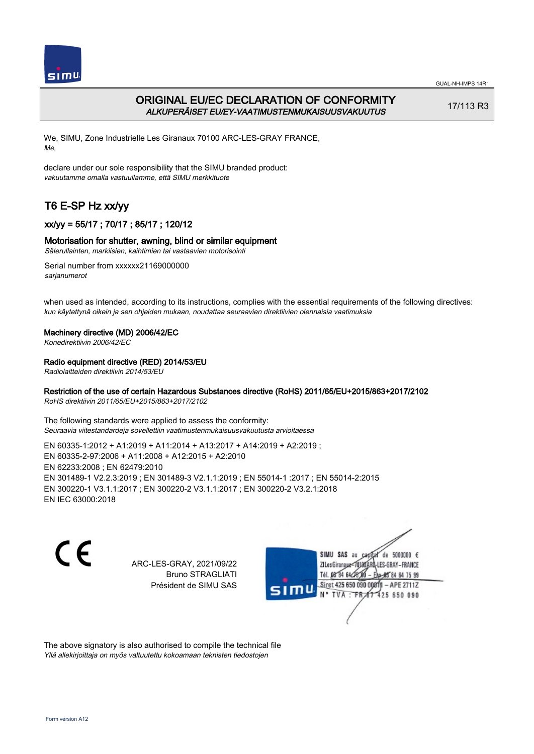

# ORIGINAL EU/EC DECLARATION OF CONFORMITY ALKUPERÄISET EU/EY-VAATIMUSTENMUKAISUUSVAKUUTUS

17/113 R3

We, SIMU, Zone Industrielle Les Giranaux 70100 ARC-LES-GRAY FRANCE, Me,

declare under our sole responsibility that the SIMU branded product: vakuutamme omalla vastuullamme, että SIMU merkkituote

# T6 E-SP Hz xx/yy

# xx/yy = 55/17 ; 70/17 ; 85/17 ; 120/12

## Motorisation for shutter, awning, blind or similar equipment

Sälerullainten, markiisien, kaihtimien tai vastaavien motorisointi

Serial number from xxxxxx21169000000 sarjanumerot

when used as intended, according to its instructions, complies with the essential requirements of the following directives: kun käytettynä oikein ja sen ohjeiden mukaan, noudattaa seuraavien direktiivien olennaisia vaatimuksia

## Machinery directive (MD) 2006/42/EC

Konedirektiivin 2006/42/EC

## Radio equipment directive (RED) 2014/53/EU

Radiolaitteiden direktiivin 2014/53/EU

## Restriction of the use of certain Hazardous Substances directive (RoHS) 2011/65/EU+2015/863+2017/2102

RoHS direktiivin 2011/65/EU+2015/863+2017/2102

The following standards were applied to assess the conformity: Seuraavia viitestandardeja sovellettiin vaatimustenmukaisuusvakuutusta arvioitaessa

EN 60335‑1:2012 + A1:2019 + A11:2014 + A13:2017 + A14:2019 + A2:2019 ; EN 60335‑2‑97:2006 + A11:2008 + A12:2015 + A2:2010 EN 62233:2008 ; EN 62479:2010 EN 301489‑1 V2.2.3:2019 ; EN 301489‑3 V2.1.1:2019 ; EN 55014‑1 :2017 ; EN 55014‑2:2015 EN 300220‑1 V3.1.1:2017 ; EN 300220‑2 V3.1.1:2017 ; EN 300220‑2 V3.2.1:2018 EN IEC 63000:2018

 $\epsilon$ 

ARC-LES-GRAY, 2021/09/22 Bruno STRAGLIATI Président de SIMU SAS



The above signatory is also authorised to compile the technical file Yllä allekirjoittaja on myös valtuutettu kokoamaan teknisten tiedostojen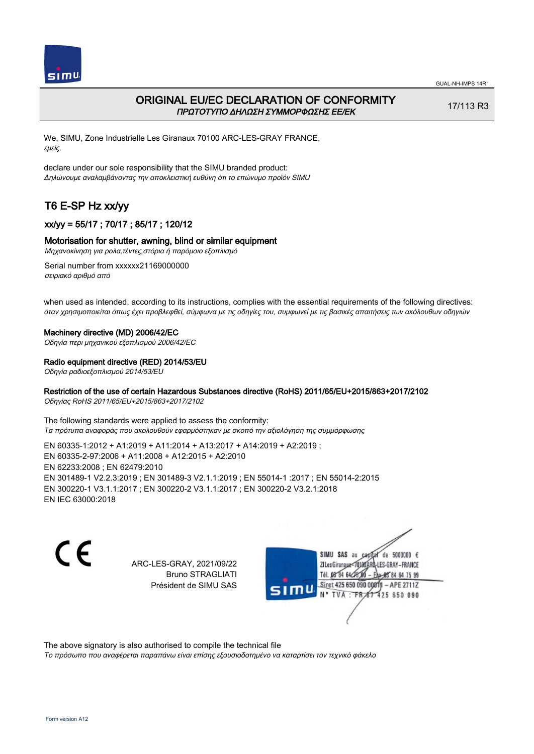

# ORIGINAL EU/EC DECLARATION OF CONFORMITY ΠΡΩΤΟΤΥΠΟ ΔΗΛΩΣΗ ΣΥΜΜΟΡΦΩΣΗΣ ΕΕ/EK

17/113 R3

We, SIMU, Zone Industrielle Les Giranaux 70100 ARC-LES-GRAY FRANCE, εμείς,

declare under our sole responsibility that the SIMU branded product: Δηλώνουμε αναλαμβάνοντας την αποκλειστική ευθύνη ότι το επώνυμο προϊόν SIMU

# T6 E-SP Hz xx/yy

# xx/yy = 55/17 ; 70/17 ; 85/17 ; 120/12

### Motorisation for shutter, awning, blind or similar equipment

Μηχανοκίνηση για ρολα,τέντες,στόρια ή παρόμοιο εξοπλισμό

Serial number from xxxxxx21169000000 σειριακό αριθμό από

when used as intended, according to its instructions, complies with the essential requirements of the following directives: όταν χρησιμοποιείται όπως έχει προβλεφθεί, σύμφωνα με τις οδηγίες του, συμφωνεί με τις βασικές απαιτήσεις των ακόλουθων οδηγιών

#### Machinery directive (MD) 2006/42/EC

Οδηγία περι μηχανικού εξοπλισμού 2006/42/EC

#### Radio equipment directive (RED) 2014/53/EU

Οδηγία ραδιοεξοπλισμού 2014/53/EU

### Restriction of the use of certain Hazardous Substances directive (RoHS) 2011/65/EU+2015/863+2017/2102

Οδηγίας RoHS 2011/65/EU+2015/863+2017/2102

The following standards were applied to assess the conformity: Τα πρότυπα αναφοράς που ακολουθούν εφαρμόστηκαν με σκοπό την αξιολόγηση της συμμόρφωσης

EN 60335‑1:2012 + A1:2019 + A11:2014 + A13:2017 + A14:2019 + A2:2019 ; EN 60335‑2‑97:2006 + A11:2008 + A12:2015 + A2:2010 EN 62233:2008 ; EN 62479:2010 EN 301489‑1 V2.2.3:2019 ; EN 301489‑3 V2.1.1:2019 ; EN 55014‑1 :2017 ; EN 55014‑2:2015 EN 300220‑1 V3.1.1:2017 ; EN 300220‑2 V3.1.1:2017 ; EN 300220‑2 V3.2.1:2018 EN IEC 63000:2018

C F

ARC-LES-GRAY, 2021/09/22 Bruno STRAGLIATI Président de SIMU SAS



The above signatory is also authorised to compile the technical file

Το πρόσωπο που αναφέρεται παραπάνω είναι επίσης εξουσιοδοτημένο να καταρτίσει τον τεχνικό φάκελο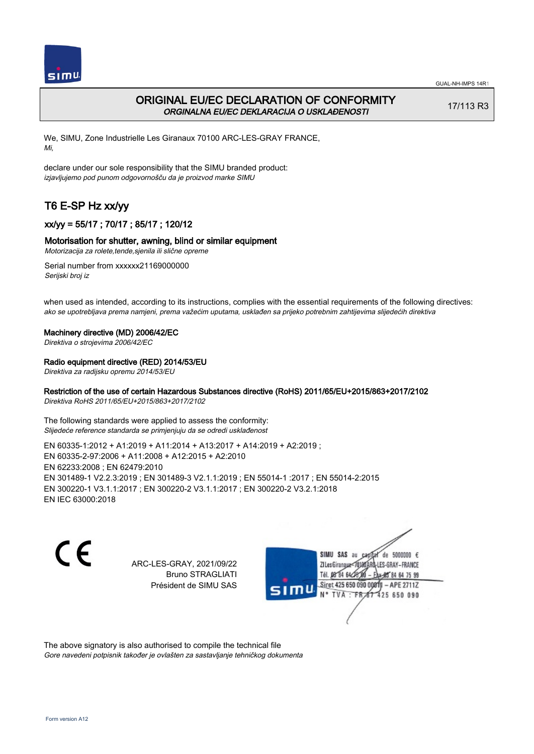

# ORIGINAL EU/EC DECLARATION OF CONFORMITY ORGINALNA EU/EC DEKLARACIJA O USKLAĐENOSTI

17/113 R3

We, SIMU, Zone Industrielle Les Giranaux 70100 ARC-LES-GRAY FRANCE, Mi,

declare under our sole responsibility that the SIMU branded product: izjavljujemo pod punom odgovornošču da je proizvod marke SIMU

# T6 E-SP Hz xx/yy

# xx/yy = 55/17 ; 70/17 ; 85/17 ; 120/12

### Motorisation for shutter, awning, blind or similar equipment

Motorizacija za rolete,tende,sjenila ili slične opreme

Serial number from xxxxxx21169000000 Serijski broj iz

when used as intended, according to its instructions, complies with the essential requirements of the following directives: ako se upotrebljava prema namjeni, prema važećim uputama, usklađen sa prijeko potrebnim zahtijevima slijedećih direktiva

#### Machinery directive (MD) 2006/42/EC

Direktiva o strojevima 2006/42/EC

### Radio equipment directive (RED) 2014/53/EU

Direktiva za radijsku opremu 2014/53/EU

### Restriction of the use of certain Hazardous Substances directive (RoHS) 2011/65/EU+2015/863+2017/2102

Direktiva RoHS 2011/65/EU+2015/863+2017/2102

The following standards were applied to assess the conformity: Slijedeće reference standarda se primjenjuju da se odredi usklađenost

EN 60335‑1:2012 + A1:2019 + A11:2014 + A13:2017 + A14:2019 + A2:2019 ; EN 60335‑2‑97:2006 + A11:2008 + A12:2015 + A2:2010 EN 62233:2008 ; EN 62479:2010 EN 301489‑1 V2.2.3:2019 ; EN 301489‑3 V2.1.1:2019 ; EN 55014‑1 :2017 ; EN 55014‑2:2015 EN 300220‑1 V3.1.1:2017 ; EN 300220‑2 V3.1.1:2017 ; EN 300220‑2 V3.2.1:2018 EN IEC 63000:2018

 $\epsilon$ 

ARC-LES-GRAY, 2021/09/22 Bruno STRAGLIATI Président de SIMU SAS



The above signatory is also authorised to compile the technical file Gore navedeni potpisnik također je ovlašten za sastavljanje tehničkog dokumenta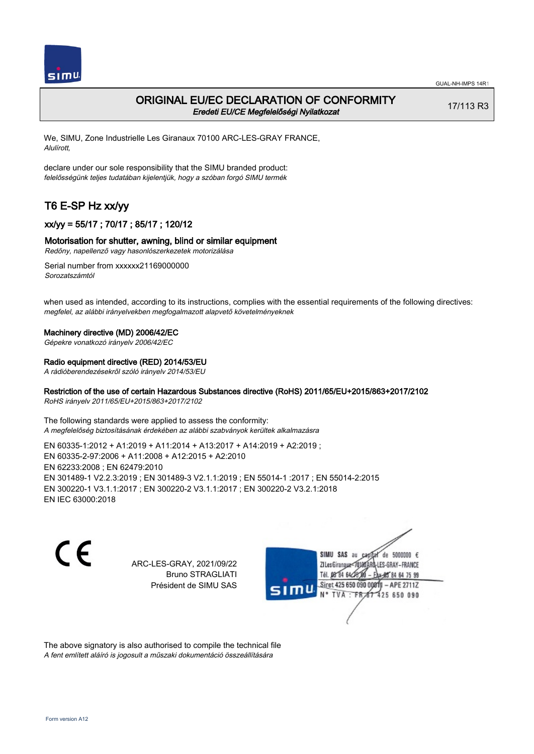

# ORIGINAL EU/EC DECLARATION OF CONFORMITY Eredeti EU/CE Megfelelőségi Nyilatkozat

17/113 R3

We, SIMU, Zone Industrielle Les Giranaux 70100 ARC-LES-GRAY FRANCE, Alulírott,

declare under our sole responsibility that the SIMU branded product: felelősségünk teljes tudatában kijelentjük, hogy a szóban forgó SIMU termék

# T6 E-SP Hz xx/yy

# xx/yy = 55/17 ; 70/17 ; 85/17 ; 120/12

## Motorisation for shutter, awning, blind or similar equipment

Redőny, napellenző vagy hasonlószerkezetek motorizálása

Serial number from xxxxxx21169000000 Sorozatszámtól

when used as intended, according to its instructions, complies with the essential requirements of the following directives: megfelel, az alábbi irányelvekben megfogalmazott alapvető követelményeknek

### Machinery directive (MD) 2006/42/EC

Gépekre vonatkozó irányelv 2006/42/EC

#### Radio equipment directive (RED) 2014/53/EU

A rádióberendezésekről szóló irányelv 2014/53/EU

### Restriction of the use of certain Hazardous Substances directive (RoHS) 2011/65/EU+2015/863+2017/2102

RoHS irányelv 2011/65/EU+2015/863+2017/2102

The following standards were applied to assess the conformity: A megfelelőség biztosításának érdekében az alábbi szabványok kerültek alkalmazásra

EN 60335‑1:2012 + A1:2019 + A11:2014 + A13:2017 + A14:2019 + A2:2019 ; EN 60335‑2‑97:2006 + A11:2008 + A12:2015 + A2:2010 EN 62233:2008 ; EN 62479:2010 EN 301489‑1 V2.2.3:2019 ; EN 301489‑3 V2.1.1:2019 ; EN 55014‑1 :2017 ; EN 55014‑2:2015 EN 300220‑1 V3.1.1:2017 ; EN 300220‑2 V3.1.1:2017 ; EN 300220‑2 V3.2.1:2018 EN IEC 63000:2018

C F

ARC-LES-GRAY, 2021/09/22 Bruno STRAGLIATI Président de SIMU SAS



The above signatory is also authorised to compile the technical file A fent említett aláíró is jogosult a műszaki dokumentáció összeállítására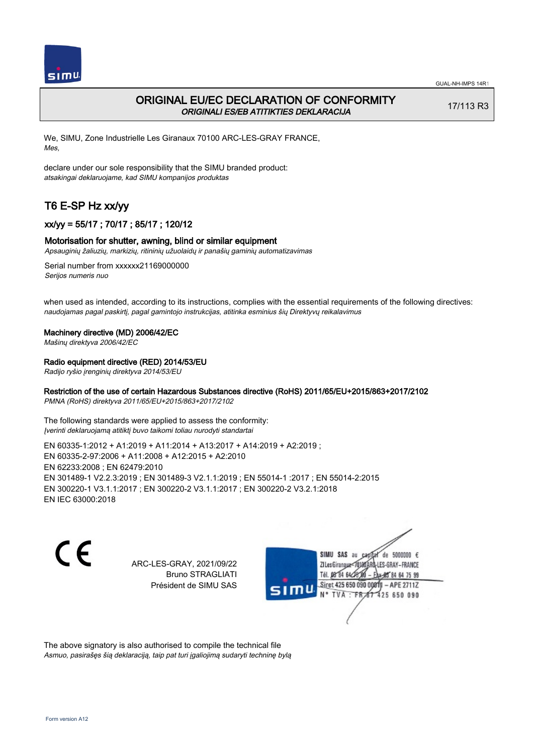

# ORIGINAL EU/EC DECLARATION OF CONFORMITY ORIGINALI ES/EB ATITIKTIES DEKLARACIJA

17/113 R3

We, SIMU, Zone Industrielle Les Giranaux 70100 ARC-LES-GRAY FRANCE, Mes,

declare under our sole responsibility that the SIMU branded product: atsakingai deklaruojame, kad SIMU kompanijos produktas

# T6 E-SP Hz xx/yy

# xx/yy = 55/17 ; 70/17 ; 85/17 ; 120/12

### Motorisation for shutter, awning, blind or similar equipment

Apsauginių žaliuzių, markizių, ritininių užuolaidų ir panašių gaminių automatizavimas

Serial number from xxxxxx21169000000 Serijos numeris nuo

when used as intended, according to its instructions, complies with the essential requirements of the following directives: naudojamas pagal paskirtį, pagal gamintojo instrukcijas, atitinka esminius šių Direktyvų reikalavimus

#### Machinery directive (MD) 2006/42/EC

Mašinų direktyva 2006/42/EC

### Radio equipment directive (RED) 2014/53/EU

Radijo ryšio įrenginių direktyva 2014/53/EU

### Restriction of the use of certain Hazardous Substances directive (RoHS) 2011/65/EU+2015/863+2017/2102

PMNA (RoHS) direktyva 2011/65/EU+2015/863+2017/2102

The following standards were applied to assess the conformity: Įverinti deklaruojamą atitiktį buvo taikomi toliau nurodyti standartai

EN 60335‑1:2012 + A1:2019 + A11:2014 + A13:2017 + A14:2019 + A2:2019 ; EN 60335‑2‑97:2006 + A11:2008 + A12:2015 + A2:2010 EN 62233:2008 ; EN 62479:2010 EN 301489‑1 V2.2.3:2019 ; EN 301489‑3 V2.1.1:2019 ; EN 55014‑1 :2017 ; EN 55014‑2:2015 EN 300220‑1 V3.1.1:2017 ; EN 300220‑2 V3.1.1:2017 ; EN 300220‑2 V3.2.1:2018 EN IEC 63000:2018

C F

ARC-LES-GRAY, 2021/09/22 Bruno STRAGLIATI Président de SIMU SAS



The above signatory is also authorised to compile the technical file Asmuo, pasirašęs šią deklaraciją, taip pat turi įgaliojimą sudaryti techninę bylą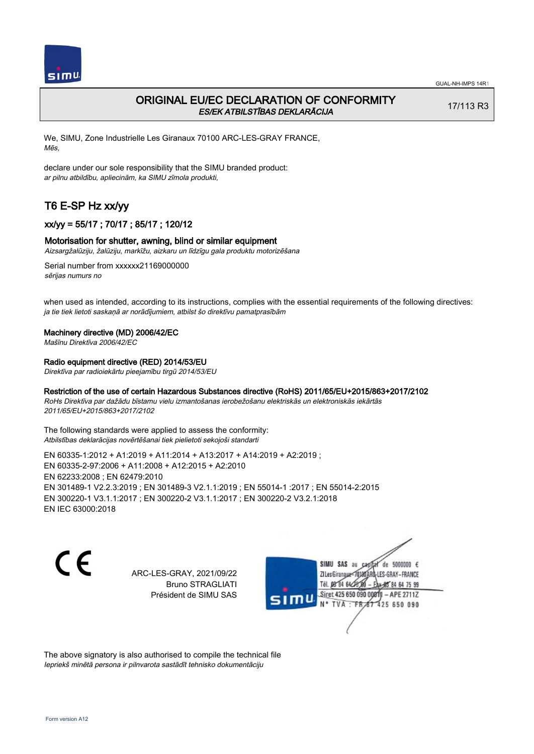

# ORIGINAL EU/EC DECLARATION OF CONFORMITY ES/EK ATBILSTĪBAS DEKLARĀCIJA

17/113 R3

We, SIMU, Zone Industrielle Les Giranaux 70100 ARC-LES-GRAY FRANCE, Mēs,

declare under our sole responsibility that the SIMU branded product: ar pilnu atbildību, apliecinām, ka SIMU zīmola produkti,

# T6 E-SP Hz xx/yy

## xx/yy = 55/17 ; 70/17 ; 85/17 ; 120/12

#### Motorisation for shutter, awning, blind or similar equipment

Aizsargžalūziju, žalūziju, markīžu, aizkaru un līdzīgu gala produktu motorizēšana

Serial number from xxxxxx21169000000 sērijas numurs no

when used as intended, according to its instructions, complies with the essential requirements of the following directives: ja tie tiek lietoti saskaņā ar norādījumiem, atbilst šo direktīvu pamatprasībām

#### Machinery directive (MD) 2006/42/EC

Mašīnu Direktīva 2006/42/EC

### Radio equipment directive (RED) 2014/53/EU

Direktīva par radioiekārtu pieejamību tirgū 2014/53/EU

### Restriction of the use of certain Hazardous Substances directive (RoHS) 2011/65/EU+2015/863+2017/2102

RoHs Direktīva par dažādu bīstamu vielu izmantošanas ierobežošanu elektriskās un elektroniskās iekārtās 2011/65/EU+2015/863+2017/2102

The following standards were applied to assess the conformity: Atbilstības deklarācijas novērtēšanai tiek pielietoti sekojoši standarti

EN 60335‑1:2012 + A1:2019 + A11:2014 + A13:2017 + A14:2019 + A2:2019 ; EN 60335‑2‑97:2006 + A11:2008 + A12:2015 + A2:2010 EN 62233:2008 ; EN 62479:2010 EN 301489‑1 V2.2.3:2019 ; EN 301489‑3 V2.1.1:2019 ; EN 55014‑1 :2017 ; EN 55014‑2:2015 EN 300220‑1 V3.1.1:2017 ; EN 300220‑2 V3.1.1:2017 ; EN 300220‑2 V3.2.1:2018 EN IEC 63000:2018

C E

ARC-LES-GRAY, 2021/09/22 Bruno STRAGLIATI Président de SIMU SAS

SIMU SAS au de 5000000  $\epsilon$ ZI Les Giranaux</r0180 LES-GRAY-FRANCE Tél. 08 84 64 28 64 75 99 Siret 425 650 090 0081) - APE 2711Z TVA: FRAT 425 650 090

The above signatory is also authorised to compile the technical file Iepriekš minētā persona ir pilnvarota sastādīt tehnisko dokumentāciju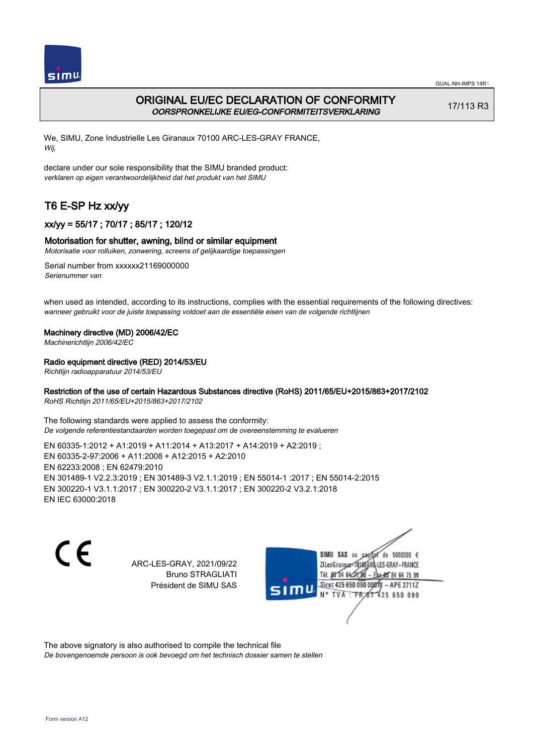

# ORIGINAL EU/EC DECLARATION OF CONFORMITY OORSPRONKELIJKE EU/EG-CONFORMITEITSVERKLARING

17/113 R3

We, SIMU, Zone Industrielle Les Giranaux 70100 ARC-LES-GRAY FRANCE, Wij,

declare under our sole responsibility that the SIMU branded product: verklaren op eigen verantwoordelijkheid dat het produkt van het SIMU

# T6 E-SP Hz xx/yy

# xx/yy = 55/17 ; 70/17 ; 85/17 ; 120/12

## Motorisation for shutter, awning, blind or similar equipment

Motorisatie voor rolluiken, zonwering, screens of gelijkaardige toepassingen

Serial number from xxxxxx21169000000 Serienummer van

when used as intended, according to its instructions, complies with the essential requirements of the following directives: wanneer gebruikt voor de juiste toepassing voldoet aan de essentiële eisen van de volgende richtlijnen

### Machinery directive (MD) 2006/42/EC

Machinerichtlijn 2006/42/EC

## Radio equipment directive (RED) 2014/53/EU

Richtlijn radioapparatuur 2014/53/EU

## Restriction of the use of certain Hazardous Substances directive (RoHS) 2011/65/EU+2015/863+2017/2102

RoHS Richtlijn 2011/65/EU+2015/863+2017/2102

The following standards were applied to assess the conformity: De volgende referentiestandaarden worden toegepast om de overeenstemming te evalueren

EN 60335‑1:2012 + A1:2019 + A11:2014 + A13:2017 + A14:2019 + A2:2019 ; EN 60335‑2‑97:2006 + A11:2008 + A12:2015 + A2:2010 EN 62233:2008 ; EN 62479:2010 EN 301489‑1 V2.2.3:2019 ; EN 301489‑3 V2.1.1:2019 ; EN 55014‑1 :2017 ; EN 55014‑2:2015 EN 300220‑1 V3.1.1:2017 ; EN 300220‑2 V3.1.1:2017 ; EN 300220‑2 V3.2.1:2018 EN IEC 63000:2018

 $\epsilon$ 

ARC-LES-GRAY, 2021/09/22 Bruno STRAGLIATI Président de SIMU SAS



The above signatory is also authorised to compile the technical file

De bovengenoemde persoon is ook bevoegd om het technisch dossier samen te stellen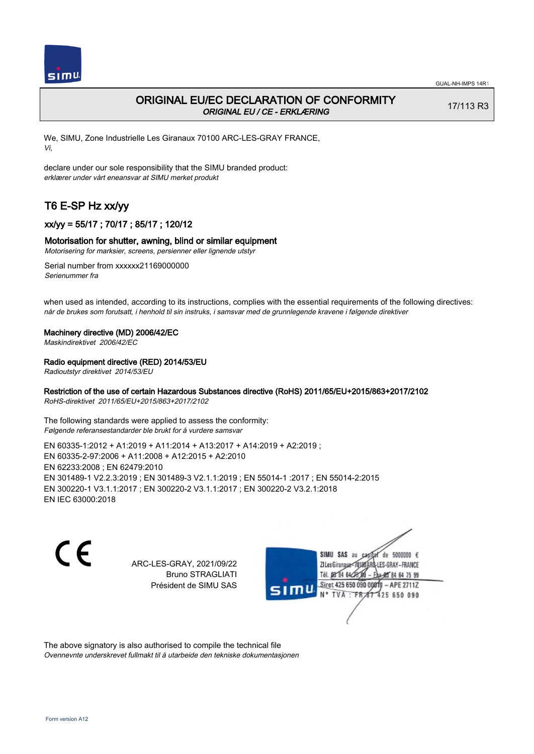

# ORIGINAL EU/EC DECLARATION OF CONFORMITY ORIGINAL EU / CE - ERKLÆRING

17/113 R3

We, SIMU, Zone Industrielle Les Giranaux 70100 ARC-LES-GRAY FRANCE, Vi,

declare under our sole responsibility that the SIMU branded product: erklærer under vårt eneansvar at SIMU merket produkt

# T6 E-SP Hz xx/yy

# xx/yy = 55/17 ; 70/17 ; 85/17 ; 120/12

### Motorisation for shutter, awning, blind or similar equipment

Motorisering for marksier, screens, persienner eller lignende utstyr

Serial number from xxxxxx21169000000 Serienummer fra

when used as intended, according to its instructions, complies with the essential requirements of the following directives: når de brukes som forutsatt, i henhold til sin instruks, i samsvar med de grunnlegende kravene i følgende direktiver

#### Machinery directive (MD) 2006/42/EC

Maskindirektivet 2006/42/EC

## Radio equipment directive (RED) 2014/53/EU

Radioutstyr direktivet 2014/53/EU

## Restriction of the use of certain Hazardous Substances directive (RoHS) 2011/65/EU+2015/863+2017/2102

RoHS-direktivet 2011/65/EU+2015/863+2017/2102

The following standards were applied to assess the conformity: Følgende referansestandarder ble brukt for å vurdere samsvar

EN 60335‑1:2012 + A1:2019 + A11:2014 + A13:2017 + A14:2019 + A2:2019 ; EN 60335‑2‑97:2006 + A11:2008 + A12:2015 + A2:2010 EN 62233:2008 ; EN 62479:2010 EN 301489‑1 V2.2.3:2019 ; EN 301489‑3 V2.1.1:2019 ; EN 55014‑1 :2017 ; EN 55014‑2:2015 EN 300220‑1 V3.1.1:2017 ; EN 300220‑2 V3.1.1:2017 ; EN 300220‑2 V3.2.1:2018 EN IEC 63000:2018

 $\epsilon$ 

ARC-LES-GRAY, 2021/09/22 Bruno STRAGLIATI Président de SIMU SAS



The above signatory is also authorised to compile the technical file Ovennevnte underskrevet fullmakt til å utarbeide den tekniske dokumentasjonen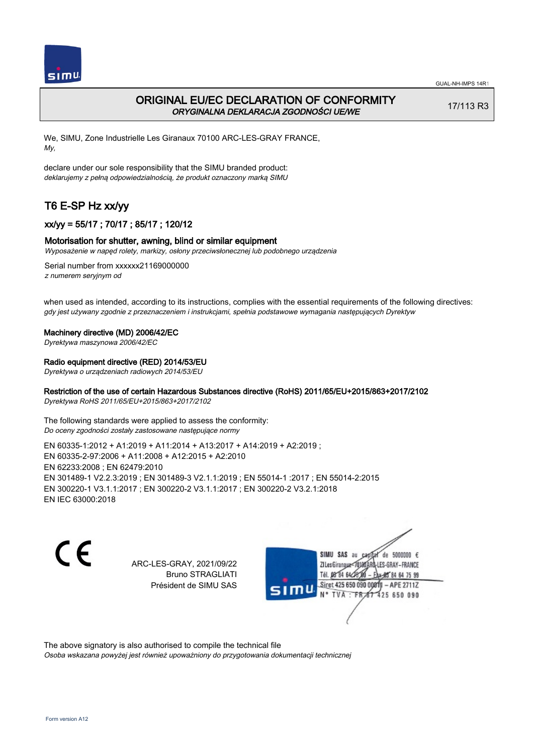

# ORIGINAL EU/EC DECLARATION OF CONFORMITY ORYGINALNA DEKLARACJA ZGODNOŚCI UE/WE

17/113 R3

We, SIMU, Zone Industrielle Les Giranaux 70100 ARC-LES-GRAY FRANCE, My,

declare under our sole responsibility that the SIMU branded product: deklarujemy z pełną odpowiedzialnością, że produkt oznaczony marką SIMU

# T6 E-SP Hz xx/yy

# xx/yy = 55/17 ; 70/17 ; 85/17 ; 120/12

### Motorisation for shutter, awning, blind or similar equipment

Wyposażenie w napęd rolety, markizy, osłony przeciwsłonecznej lub podobnego urządzenia

Serial number from xxxxxx21169000000 z numerem seryjnym od

when used as intended, according to its instructions, complies with the essential requirements of the following directives: gdy jest używany zgodnie z przeznaczeniem i instrukcjami, spełnia podstawowe wymagania następujących Dyrektyw

#### Machinery directive (MD) 2006/42/EC

Dyrektywa maszynowa 2006/42/EC

#### Radio equipment directive (RED) 2014/53/EU

Dyrektywa o urządzeniach radiowych 2014/53/EU

## Restriction of the use of certain Hazardous Substances directive (RoHS) 2011/65/EU+2015/863+2017/2102

Dyrektywa RoHS 2011/65/EU+2015/863+2017/2102

The following standards were applied to assess the conformity: Do oceny zgodności zostały zastosowane następujące normy

EN 60335‑1:2012 + A1:2019 + A11:2014 + A13:2017 + A14:2019 + A2:2019 ; EN 60335‑2‑97:2006 + A11:2008 + A12:2015 + A2:2010 EN 62233:2008 ; EN 62479:2010 EN 301489‑1 V2.2.3:2019 ; EN 301489‑3 V2.1.1:2019 ; EN 55014‑1 :2017 ; EN 55014‑2:2015 EN 300220‑1 V3.1.1:2017 ; EN 300220‑2 V3.1.1:2017 ; EN 300220‑2 V3.2.1:2018 EN IEC 63000:2018

C F

ARC-LES-GRAY, 2021/09/22 Bruno STRAGLIATI Président de SIMU SAS



The above signatory is also authorised to compile the technical file

Osoba wskazana powyżej jest również upoważniony do przygotowania dokumentacji technicznej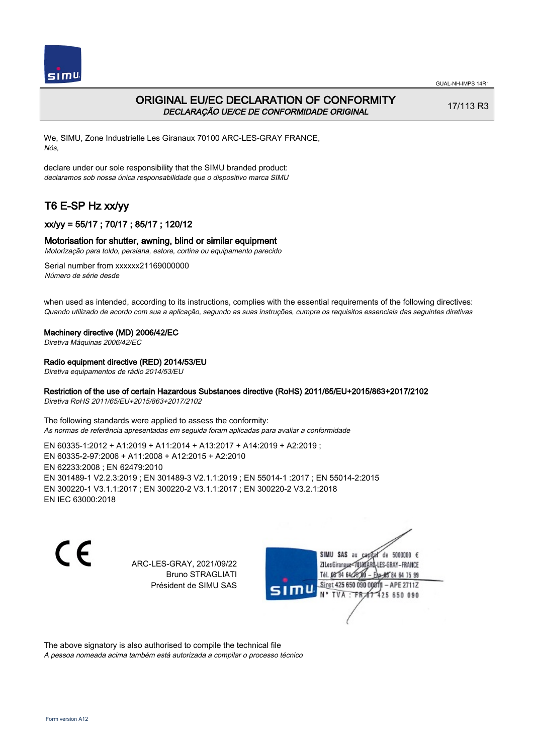



# ORIGINAL EU/EC DECLARATION OF CONFORMITY DECLARAÇÃO UE/CE DE CONFORMIDADE ORIGINAL

17/113 R3

We, SIMU, Zone Industrielle Les Giranaux 70100 ARC-LES-GRAY FRANCE, Nós,

declare under our sole responsibility that the SIMU branded product: declaramos sob nossa única responsabilidade que o dispositivo marca SIMU

# T6 E-SP Hz xx/yy

# xx/yy = 55/17 ; 70/17 ; 85/17 ; 120/12

## Motorisation for shutter, awning, blind or similar equipment

Motorização para toldo, persiana, estore, cortina ou equipamento parecido

Serial number from xxxxxx21169000000 Número de série desde

when used as intended, according to its instructions, complies with the essential requirements of the following directives: Quando utilizado de acordo com sua a aplicação, segundo as suas instruções, cumpre os requisitos essenciais das seguintes diretivas

### Machinery directive (MD) 2006/42/EC

Diretiva Máquinas 2006/42/EC

## Radio equipment directive (RED) 2014/53/EU

Diretiva equipamentos de rádio 2014/53/EU

## Restriction of the use of certain Hazardous Substances directive (RoHS) 2011/65/EU+2015/863+2017/2102

Diretiva RoHS 2011/65/EU+2015/863+2017/2102

The following standards were applied to assess the conformity: As normas de referência apresentadas em seguida foram aplicadas para avaliar a conformidade

EN 60335‑1:2012 + A1:2019 + A11:2014 + A13:2017 + A14:2019 + A2:2019 ; EN 60335‑2‑97:2006 + A11:2008 + A12:2015 + A2:2010 EN 62233:2008 ; EN 62479:2010 EN 301489‑1 V2.2.3:2019 ; EN 301489‑3 V2.1.1:2019 ; EN 55014‑1 :2017 ; EN 55014‑2:2015 EN 300220‑1 V3.1.1:2017 ; EN 300220‑2 V3.1.1:2017 ; EN 300220‑2 V3.2.1:2018 EN IEC 63000:2018

 $\epsilon$ 

ARC-LES-GRAY, 2021/09/22 Bruno STRAGLIATI Président de SIMU SAS



The above signatory is also authorised to compile the technical file

A pessoa nomeada acima também está autorizada a compilar o processo técnico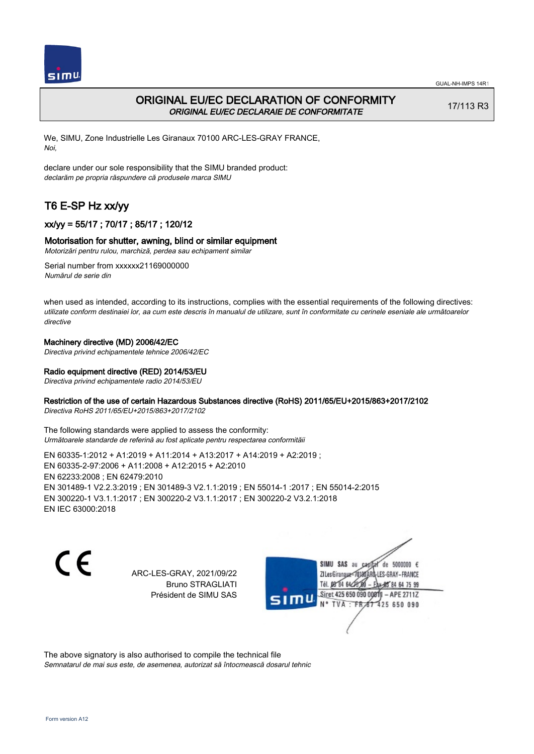



# ORIGINAL EU/EC DECLARATION OF CONFORMITY ORIGINAL EU/EC DECLARAIE DE CONFORMITATE

17/113 R3

We, SIMU, Zone Industrielle Les Giranaux 70100 ARC-LES-GRAY FRANCE, Noi,

declare under our sole responsibility that the SIMU branded product: declarăm pe propria răspundere că produsele marca SIMU

# T6 E-SP Hz xx/yy

# xx/yy = 55/17 ; 70/17 ; 85/17 ; 120/12

## Motorisation for shutter, awning, blind or similar equipment

Motorizări pentru rulou, marchiză, perdea sau echipament similar

Serial number from xxxxxx21169000000 Numărul de serie din

when used as intended, according to its instructions, complies with the essential requirements of the following directives: utilizate conform destinaiei lor, aa cum este descris în manualul de utilizare, sunt în conformitate cu cerinele eseniale ale următoarelor directive

## Machinery directive (MD) 2006/42/EC

Directiva privind echipamentele tehnice 2006/42/EC

## Radio equipment directive (RED) 2014/53/EU

Directiva privind echipamentele radio 2014/53/EU

## Restriction of the use of certain Hazardous Substances directive (RoHS) 2011/65/EU+2015/863+2017/2102

Directiva RoHS 2011/65/EU+2015/863+2017/2102

The following standards were applied to assess the conformity: Următoarele standarde de referină au fost aplicate pentru respectarea conformităii

EN 60335‑1:2012 + A1:2019 + A11:2014 + A13:2017 + A14:2019 + A2:2019 ; EN 60335‑2‑97:2006 + A11:2008 + A12:2015 + A2:2010 EN 62233:2008 ; EN 62479:2010 EN 301489‑1 V2.2.3:2019 ; EN 301489‑3 V2.1.1:2019 ; EN 55014‑1 :2017 ; EN 55014‑2:2015 EN 300220‑1 V3.1.1:2017 ; EN 300220‑2 V3.1.1:2017 ; EN 300220‑2 V3.2.1:2018 EN IEC 63000:2018

C E

ARC-LES-GRAY, 2021/09/22 Bruno STRAGLIATI Président de SIMU SAS

de 5000000  $\epsilon$ SIMU SAS au ZI Les Giranaux-70180 LES-GRAY-FRANCE Tél. 08 84 64 24 64 75 99 Siret 425 650 090 008TV - APE 2711Z 425 650 090 TVA: FR

The above signatory is also authorised to compile the technical file Semnatarul de mai sus este, de asemenea, autorizat să întocmească dosarul tehnic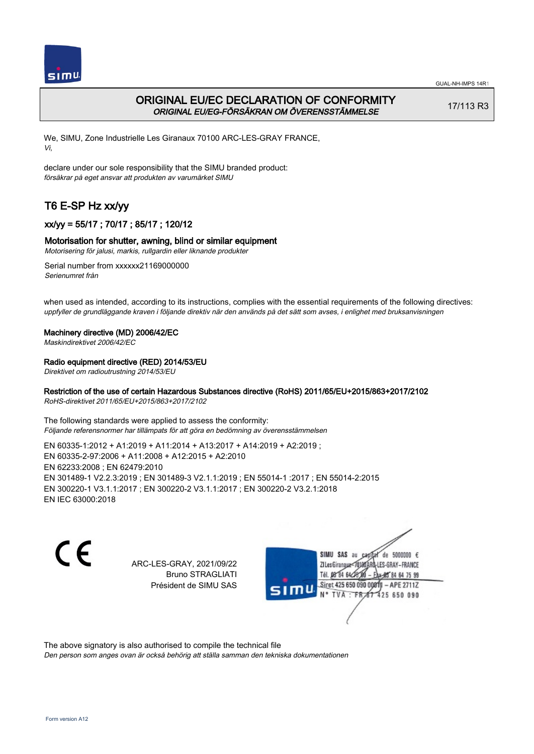

# ORIGINAL EU/EC DECLARATION OF CONFORMITY ORIGINAL EU/EG-FÖRSÄKRAN OM ÖVERENSSTÄMMELSE

17/113 R3

We, SIMU, Zone Industrielle Les Giranaux 70100 ARC-LES-GRAY FRANCE, Vi,

declare under our sole responsibility that the SIMU branded product: försäkrar på eget ansvar att produkten av varumärket SIMU

# T6 E-SP Hz xx/yy

# xx/yy = 55/17 ; 70/17 ; 85/17 ; 120/12

## Motorisation for shutter, awning, blind or similar equipment

Motorisering för jalusi, markis, rullgardin eller liknande produkter

Serial number from xxxxxx21169000000 Serienumret från

when used as intended, according to its instructions, complies with the essential requirements of the following directives: uppfyller de grundläggande kraven i följande direktiv när den används på det sätt som avses, i enlighet med bruksanvisningen

### Machinery directive (MD) 2006/42/EC

Maskindirektivet 2006/42/EC

## Radio equipment directive (RED) 2014/53/EU

Direktivet om radioutrustning 2014/53/EU

## Restriction of the use of certain Hazardous Substances directive (RoHS) 2011/65/EU+2015/863+2017/2102

RoHS-direktivet 2011/65/EU+2015/863+2017/2102

The following standards were applied to assess the conformity: Följande referensnormer har tillämpats för att göra en bedömning av överensstämmelsen

EN 60335‑1:2012 + A1:2019 + A11:2014 + A13:2017 + A14:2019 + A2:2019 ; EN 60335‑2‑97:2006 + A11:2008 + A12:2015 + A2:2010 EN 62233:2008 ; EN 62479:2010 EN 301489‑1 V2.2.3:2019 ; EN 301489‑3 V2.1.1:2019 ; EN 55014‑1 :2017 ; EN 55014‑2:2015 EN 300220‑1 V3.1.1:2017 ; EN 300220‑2 V3.1.1:2017 ; EN 300220‑2 V3.2.1:2018 EN IEC 63000:2018

 $\epsilon$ 

ARC-LES-GRAY, 2021/09/22 Bruno STRAGLIATI Président de SIMU SAS



The above signatory is also authorised to compile the technical file

Den person som anges ovan är också behörig att ställa samman den tekniska dokumentationen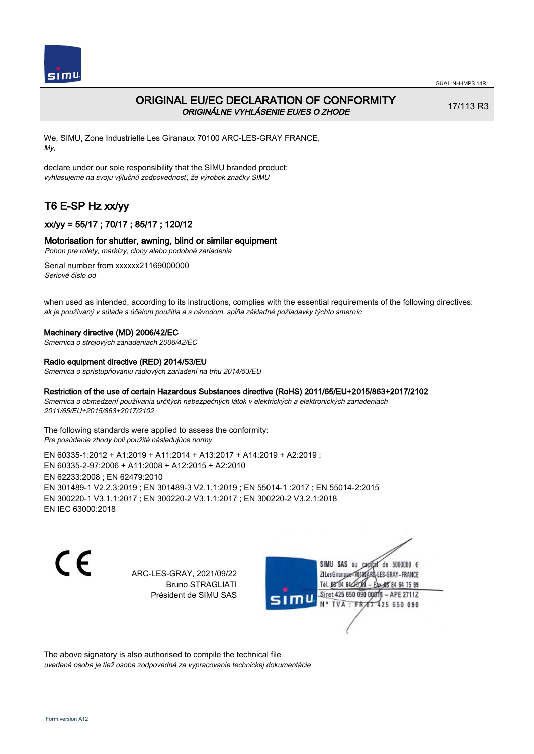

# ORIGINAL EU/EC DECLARATION OF CONFORMITY ORIGINÁLNE VYHLÁSENIE EU/ES O ZHODE

17/113 R3

We, SIMU, Zone Industrielle Les Giranaux 70100 ARC-LES-GRAY FRANCE, My,

declare under our sole responsibility that the SIMU branded product: vyhlasujeme na svoju výlučnú zodpovednosť, že výrobok značky SIMU

# T6 E-SP Hz xx/yy

## xx/yy = 55/17 ; 70/17 ; 85/17 ; 120/12

### Motorisation for shutter, awning, blind or similar equipment

Pohon pre rolety, markízy, clony alebo podobné zariadenia

Serial number from xxxxxx21169000000 Seriové číslo od

when used as intended, according to its instructions, complies with the essential requirements of the following directives: ak je používaný v súlade s účelom použitia a s návodom, spĺňa základné požiadavky týchto smerníc

#### Machinery directive (MD) 2006/42/EC

Smernica o strojových zariadeniach 2006/42/EC

#### Radio equipment directive (RED) 2014/53/EU

Smernica o sprístupňovaniu rádiových zariadení na trhu 2014/53/EU

### Restriction of the use of certain Hazardous Substances directive (RoHS) 2011/65/EU+2015/863+2017/2102

Smernica o obmedzení používania určitých nebezpečných látok v elektrických a elektronických zariadeniach 2011/65/EU+2015/863+2017/2102

The following standards were applied to assess the conformity: Pre posúdenie zhody boli použité následujúce normy

EN 60335‑1:2012 + A1:2019 + A11:2014 + A13:2017 + A14:2019 + A2:2019 ; EN 60335‑2‑97:2006 + A11:2008 + A12:2015 + A2:2010 EN 62233:2008 ; EN 62479:2010 EN 301489‑1 V2.2.3:2019 ; EN 301489‑3 V2.1.1:2019 ; EN 55014‑1 :2017 ; EN 55014‑2:2015 EN 300220‑1 V3.1.1:2017 ; EN 300220‑2 V3.1.1:2017 ; EN 300220‑2 V3.2.1:2018 EN IEC 63000:2018

C E

ARC-LES-GRAY, 2021/09/22 Bruno STRAGLIATI Président de SIMU SAS

SIMU SAS au de 5000000  $\epsilon$ ZI Les Giranaux</r0180 LES-GRAY-FRANCE Tél. 08 84 64 24 64 75 99 Siret 425 650 090 008TV - APE 2711Z 425 650 090 TVA : FRAT

The above signatory is also authorised to compile the technical file uvedená osoba je tiež osoba zodpovedná za vypracovanie technickej dokumentácie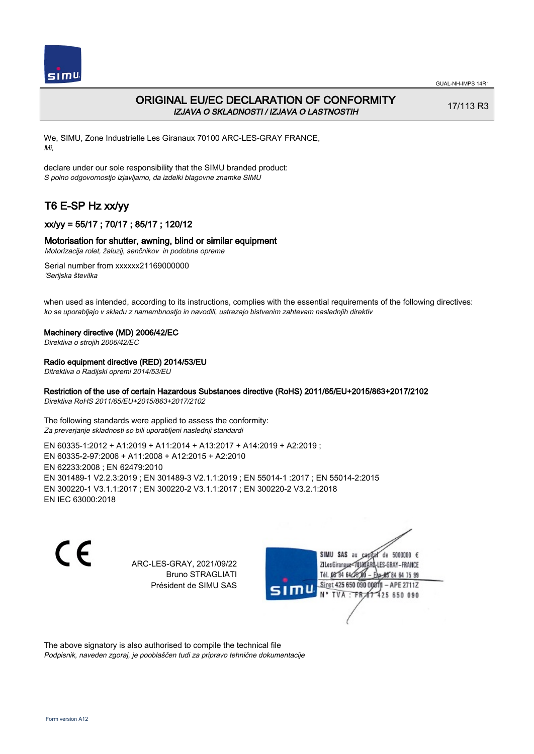

# ORIGINAL EU/EC DECLARATION OF CONFORMITY IZJAVA O SKLADNOSTI / IZJAVA O LASTNOSTIH

17/113 R3

We, SIMU, Zone Industrielle Les Giranaux 70100 ARC-LES-GRAY FRANCE, Mi,

declare under our sole responsibility that the SIMU branded product: S polno odgovornostjo izjavljamo, da izdelki blagovne znamke SIMU

# T6 E-SP Hz xx/yy

# xx/yy = 55/17 ; 70/17 ; 85/17 ; 120/12

## Motorisation for shutter, awning, blind or similar equipment

Motorizacija rolet, žaluzij, senčnikov in podobne opreme

Serial number from xxxxxx21169000000 'Serijska številka

when used as intended, according to its instructions, complies with the essential requirements of the following directives: ko se uporabljajo v skladu z namembnostjo in navodili, ustrezajo bistvenim zahtevam naslednjih direktiv

### Machinery directive (MD) 2006/42/EC

Direktiva o strojih 2006/42/EC

### Radio equipment directive (RED) 2014/53/EU

Ditrektiva o Radijski opremi 2014/53/EU

## Restriction of the use of certain Hazardous Substances directive (RoHS) 2011/65/EU+2015/863+2017/2102

Direktiva RoHS 2011/65/EU+2015/863+2017/2102

The following standards were applied to assess the conformity: Za preverjanje skladnosti so bili uporabljeni naslednji standardi

EN 60335‑1:2012 + A1:2019 + A11:2014 + A13:2017 + A14:2019 + A2:2019 ; EN 60335‑2‑97:2006 + A11:2008 + A12:2015 + A2:2010 EN 62233:2008 ; EN 62479:2010 EN 301489‑1 V2.2.3:2019 ; EN 301489‑3 V2.1.1:2019 ; EN 55014‑1 :2017 ; EN 55014‑2:2015 EN 300220‑1 V3.1.1:2017 ; EN 300220‑2 V3.1.1:2017 ; EN 300220‑2 V3.2.1:2018 EN IEC 63000:2018

 $\epsilon$ 

ARC-LES-GRAY, 2021/09/22 Bruno STRAGLIATI Président de SIMU SAS



The above signatory is also authorised to compile the technical file Podpisnik, naveden zgoraj, je pooblaščen tudi za pripravo tehnične dokumentacije